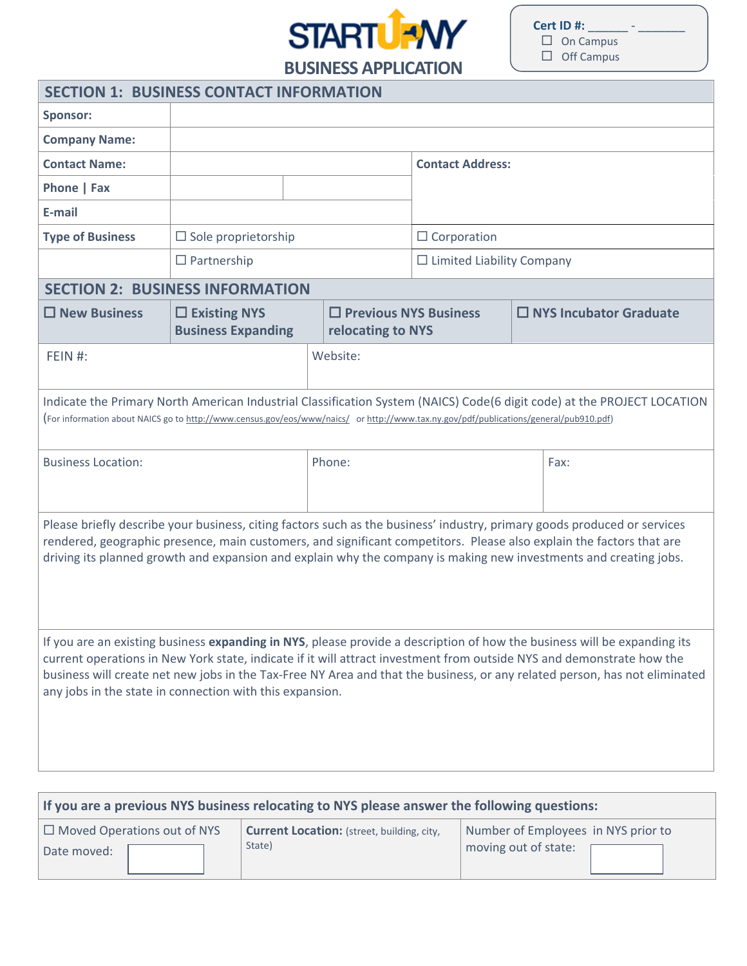

**Cert ID #: \_\_**  $\Box$  On Campus  $\Box$  Off Campus

For campus use only

**BUSINESS APPLICATION** 

| <b>SECTION 1: BUSINESS CONTACT INFORMATION</b>                                                                                                                                                                                                                                                                                                                                                                                              |                                                                                                                                                                                                                                                                  |  |                                                   |                                  |  |                               |
|---------------------------------------------------------------------------------------------------------------------------------------------------------------------------------------------------------------------------------------------------------------------------------------------------------------------------------------------------------------------------------------------------------------------------------------------|------------------------------------------------------------------------------------------------------------------------------------------------------------------------------------------------------------------------------------------------------------------|--|---------------------------------------------------|----------------------------------|--|-------------------------------|
| <b>Sponsor:</b>                                                                                                                                                                                                                                                                                                                                                                                                                             |                                                                                                                                                                                                                                                                  |  |                                                   |                                  |  |                               |
| <b>Company Name:</b>                                                                                                                                                                                                                                                                                                                                                                                                                        |                                                                                                                                                                                                                                                                  |  |                                                   |                                  |  |                               |
| <b>Contact Name:</b>                                                                                                                                                                                                                                                                                                                                                                                                                        |                                                                                                                                                                                                                                                                  |  |                                                   | <b>Contact Address:</b>          |  |                               |
| Phone   Fax                                                                                                                                                                                                                                                                                                                                                                                                                                 |                                                                                                                                                                                                                                                                  |  |                                                   |                                  |  |                               |
| E-mail                                                                                                                                                                                                                                                                                                                                                                                                                                      |                                                                                                                                                                                                                                                                  |  |                                                   |                                  |  |                               |
| <b>Type of Business</b>                                                                                                                                                                                                                                                                                                                                                                                                                     | $\Box$ Sole proprietorship                                                                                                                                                                                                                                       |  |                                                   | $\Box$ Corporation               |  |                               |
|                                                                                                                                                                                                                                                                                                                                                                                                                                             | $\Box$ Partnership                                                                                                                                                                                                                                               |  |                                                   | $\Box$ Limited Liability Company |  |                               |
| <b>SECTION 2: BUSINESS INFORMATION</b>                                                                                                                                                                                                                                                                                                                                                                                                      |                                                                                                                                                                                                                                                                  |  |                                                   |                                  |  |                               |
| $\square$ New Business                                                                                                                                                                                                                                                                                                                                                                                                                      | $\square$ Existing NYS<br><b>Business Expanding</b>                                                                                                                                                                                                              |  | $\Box$ Previous NYS Business<br>relocating to NYS |                                  |  | $\Box$ NYS Incubator Graduate |
| FEIN $#$ :                                                                                                                                                                                                                                                                                                                                                                                                                                  |                                                                                                                                                                                                                                                                  |  | Website:                                          |                                  |  |                               |
|                                                                                                                                                                                                                                                                                                                                                                                                                                             | Indicate the Primary North American Industrial Classification System (NAICS) Code(6 digit code) at the PROJECT LOCATION<br>(For information about NAICS go to http://www.census.gov/eos/www/naics/ or http://www.tax.ny.gov/pdf/publications/general/pub910.pdf) |  |                                                   |                                  |  |                               |
| <b>Business Location:</b>                                                                                                                                                                                                                                                                                                                                                                                                                   |                                                                                                                                                                                                                                                                  |  | Phone:<br>Fax:                                    |                                  |  |                               |
| Please briefly describe your business, citing factors such as the business' industry, primary goods produced or services<br>rendered, geographic presence, main customers, and significant competitors. Please also explain the factors that are<br>driving its planned growth and expansion and explain why the company is making new investments and creating jobs.                                                                       |                                                                                                                                                                                                                                                                  |  |                                                   |                                  |  |                               |
| If you are an existing business expanding in NYS, please provide a description of how the business will be expanding its<br>current operations in New York state, indicate if it will attract investment from outside NYS and demonstrate how the<br>business will create net new jobs in the Tax-Free NY Area and that the business, or any related person, has not eliminated<br>any jobs in the state in connection with this expansion. |                                                                                                                                                                                                                                                                  |  |                                                   |                                  |  |                               |

| If you are a previous NYS business relocating to NYS please answer the following questions: |                                                   |                                     |  |  |  |
|---------------------------------------------------------------------------------------------|---------------------------------------------------|-------------------------------------|--|--|--|
| $\Box$ Moved Operations out of NYS                                                          | <b>Current Location:</b> (street, building, city, | Number of Employees in NYS prior to |  |  |  |
| Date moved:                                                                                 | State)                                            | moving out of state:                |  |  |  |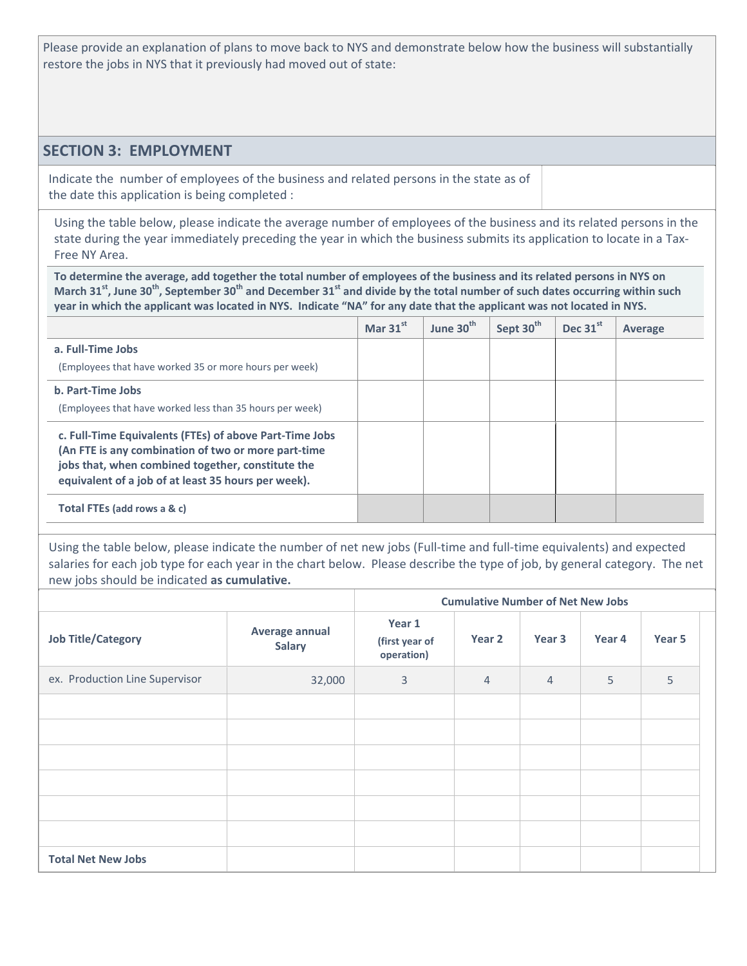Please provide an explanation of plans to move back to NYS and demonstrate below how the business will substantially restore the jobs in NYS that it previously had moved out of state:

#### **SECTION 3: EMPLOYMENT**

Indicate the number of employees of the business and related persons in the state as of the date this application is being completed :

Using the table below, please indicate the average number of employees of the business and its related persons in the state during the year immediately preceding the year in which the business submits its application to locate in a Tax-Free NY Area.

**To determine the average, add together the total number of employees of the business and its related persons in NYS on March 31st, June 30th, September 30th and December 31st and divide by the total number of such dates occurring within such year in which the applicant was located in NYS. Indicate "NA" for any date that the applicant was not located in NYS.** 

|                                                                                                          | Mar $31^{st}$ | June 30 <sup>th</sup> | Sept 30 <sup>th</sup> | Dec 31st | Average |
|----------------------------------------------------------------------------------------------------------|---------------|-----------------------|-----------------------|----------|---------|
| a. Full-Time Jobs                                                                                        |               |                       |                       |          |         |
| (Employees that have worked 35 or more hours per week)                                                   |               |                       |                       |          |         |
| b. Part-Time Jobs                                                                                        |               |                       |                       |          |         |
| (Employees that have worked less than 35 hours per week)                                                 |               |                       |                       |          |         |
| c. Full-Time Equivalents (FTEs) of above Part-Time Jobs                                                  |               |                       |                       |          |         |
| (An FTE is any combination of two or more part-time                                                      |               |                       |                       |          |         |
| jobs that, when combined together, constitute the<br>equivalent of a job of at least 35 hours per week). |               |                       |                       |          |         |
| Total FTEs (add rows a & c)                                                                              |               |                       |                       |          |         |
|                                                                                                          |               |                       |                       |          |         |

Using the table below, please indicate the number of net new jobs (Full-time and full-time equivalents) and expected salaries for each job type for each year in the chart below. Please describe the type of job, by general category. The net new jobs should be indicated **as cumulative.**

|                                |                                 |                                        | <b>Cumulative Number of Net New Jobs</b> |                |        |                   |  |
|--------------------------------|---------------------------------|----------------------------------------|------------------------------------------|----------------|--------|-------------------|--|
| <b>Job Title/Category</b>      | Average annual<br><b>Salary</b> | Year 1<br>(first year of<br>operation) | Year 2                                   | Year 3         | Year 4 | Year <sub>5</sub> |  |
| ex. Production Line Supervisor | 32,000                          | 3                                      | $\overline{4}$                           | $\overline{4}$ | 5      | 5                 |  |
|                                |                                 |                                        |                                          |                |        |                   |  |
|                                |                                 |                                        |                                          |                |        |                   |  |
|                                |                                 |                                        |                                          |                |        |                   |  |
|                                |                                 |                                        |                                          |                |        |                   |  |
|                                |                                 |                                        |                                          |                |        |                   |  |
|                                |                                 |                                        |                                          |                |        |                   |  |
| <b>Total Net New Jobs</b>      |                                 |                                        |                                          |                |        |                   |  |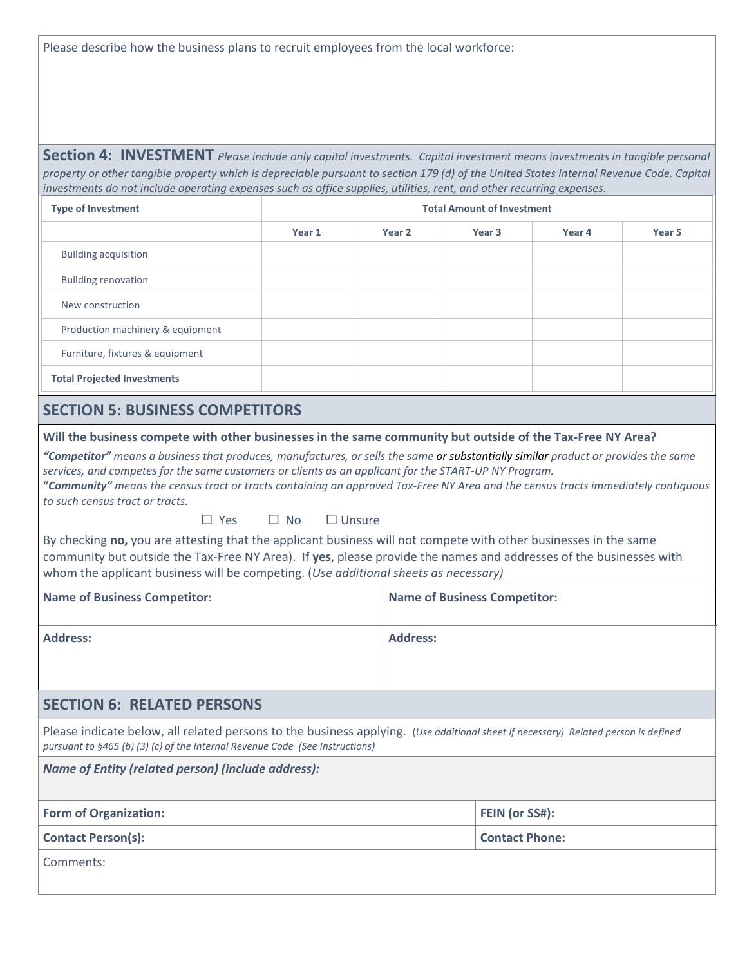Please describe how the business plans to recruit employees from the local workforce:

**Section 4: INVESTMENT** *Please include only capital investments. Capital investment means investments in tangible personal property or other tangible property which is depreciable pursuant to section 179 (d) of the United States Internal Revenue Code. Capital investments do not include operating expenses such as office supplies, utilities, rent, and other recurring expenses.* 

| <b>Type of Investment</b>          | <b>Total Amount of Investment</b> |        |                   |        |        |  |  |
|------------------------------------|-----------------------------------|--------|-------------------|--------|--------|--|--|
|                                    | Year 1                            | Year 2 | Year <sub>3</sub> | Year 4 | Year 5 |  |  |
| <b>Building acquisition</b>        |                                   |        |                   |        |        |  |  |
| <b>Building renovation</b>         |                                   |        |                   |        |        |  |  |
| New construction                   |                                   |        |                   |        |        |  |  |
| Production machinery & equipment   |                                   |        |                   |        |        |  |  |
| Furniture, fixtures & equipment    |                                   |        |                   |        |        |  |  |
| <b>Total Projected Investments</b> |                                   |        |                   |        |        |  |  |

### **SECTION 5: BUSINESS COMPETITORS**

**Will the business compete with other businesses in the same community but outside of the Tax-Free NY Area?**

*"Competitor" means a business that produces, manufactures, or sells the same or substantially similar product or provides the same services, and competes for the same customers or clients as an applicant for the START-UP NY Program.* **"***Community" means the census tract or tracts containing an approved Tax-Free NY Area and the census tracts immediately contiguous to such census tract or tracts.*

 $\Box$  Yes  $\Box$  No  $\Box$  Unsure

By checking **no,** you are attesting that the applicant business will not compete with other businesses in the same community but outside the Tax-Free NY Area). If **yes**, please provide the names and addresses of the businesses with whom the applicant business will be competing. (*Use additional sheets as necessary)*

| <b>Name of Business Competitor:</b> | <b>Name of Business Competitor:</b> |
|-------------------------------------|-------------------------------------|
| <b>Address:</b>                     | <b>Address:</b>                     |
|                                     |                                     |

# **SECTION 6: RELATED PERSONS**

Please indicate below, all related persons to the business applying. (*Use additional sheet if necessary) Related person is defined pursuant to §465 (b) (3) (c) of the Internal Revenue Code (See Instructions)*

| Name of Entity (related person) (include address): |                       |  |  |  |
|----------------------------------------------------|-----------------------|--|--|--|
| <b>Form of Organization:</b>                       | FEIN (or SS#):        |  |  |  |
| <b>Contact Person(s):</b>                          | <b>Contact Phone:</b> |  |  |  |
| 'Comments:                                         |                       |  |  |  |